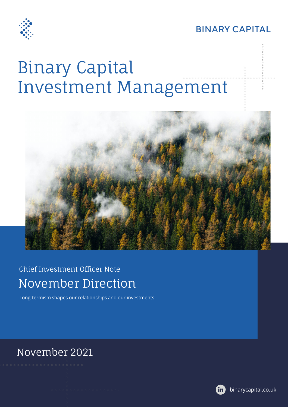

**BINARY CAPITAL** 

# Binary Capital Investment Management



### Chief Investment Officer Note November Direction

Long-termism shapes our relationships and our investments.

#### November 2021

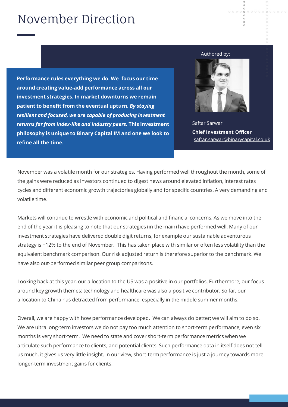## November Direction

**Performance rules everything we do. We focus our time around creating value-add performance across all our investment strategies. In market downturns we remain patient to benefit from the eventual upturn.** *By staying resilient and focused, we are capable of producing investment returns far from index-like and industry peers***. This investment philosophy is unique to Binary Capital IM and one we look to refine all the time.** 

#### Authored by:



Saftar Sarwar **Chief Investment Officer** [saftar.sarwar@binarycapital.co.uk](mailto:saftar.sarwar@binarycapital.co.uk)

November was a volatile month for our strategies. Having performed well throughout the month, some of the gains were reduced as investors continued to digest news around elevated inflation, interest rates cycles and different economic growth trajectories globally and for specific countries. A very demanding and volatile time.

Markets will continue to wrestle with economic and political and financial concerns. As we move into the end of the year it is pleasing to note that our strategies (in the main) have performed well. Many of our investment strategies have delivered double digit returns, for example our sustainable adventurous strategy is +12% to the end of November. This has taken place with similar or often less volatility than the equivalent benchmark comparison. Our risk adjusted return is therefore superior to the benchmark. We have also out-performed similar peer group comparisons.

Looking back at this year, our allocation to the US was a positive in our portfolios. Furthermore, our focus around key growth themes: technology and healthcare was also a positive contributor. So far, our allocation to China has detracted from performance, especially in the middle summer months.

Overall, we are happy with how performance developed. We can always do better; we will aim to do so. We are ultra long-term investors we do not pay too much attention to short-term performance, even six months is very short-term. We need to state and cover short-term performance metrics when we articulate such performance to clients, and potential clients. Such performance data in itself does not tell us much, it gives us very little insight. In our view, short-term performance is just a journey towards more longer-term investment gains for clients.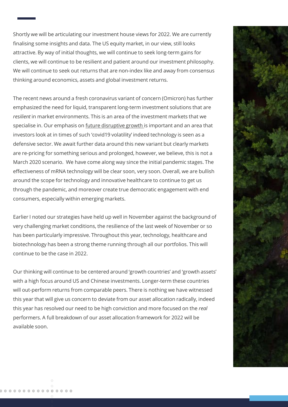Shortly we will be articulating our investment house views for 2022. We are currently finalising some insights and data. The US equity market, in our view, still looks attractive. By way of initial thoughts, we will continue to seek long-term gains for clients, we will continue to be resilient and patient around our investment philosophy. We will continue to seek out returns that are non-index like and away from consensus thinking around economics, assets and global investment returns.

The recent news around a fresh coronavirus variant of concern (Omicron) has further emphasized the need for liquid, transparent long-term investment solutions that are *resilient* in market environments. This is an area of the investment markets that we specialise in. Our emphasis on future disruptive growth is important and an area that investors look at in times of such 'covid19 volatility' indeed technology is seen as a defensive sector. We await further data around this new variant but clearly markets are re-pricing for something serious and prolonged, however, we believe, this is not a March 2020 scenario. We have come along way since the initial pandemic stages. The effectiveness of mRNA technology will be clear soon, very soon. Overall, we are bullish around the scope for technology and innovative healthcare to continue to get us through the pandemic, and moreover create true democratic engagement with end consumers, especially within emerging markets.

Earlier I noted our strategies have held up well in November against the background of very challenging market conditions, the resilience of the last week of November or so has been particularly impressive. Throughout this year, technology, healthcare and biotechnology has been a strong theme running through all our portfolios. This will continue to be the case in 2022.

Our thinking will continue to be centered around 'growth countries' and 'growth assets' with a high focus around US and Chinese investments. Longer-term these countries will out-perform returns from comparable peers. There is nothing we have witnessed this year that will give us concern to deviate from our asset allocation radically, indeed this year has resolved our need to be high conviction and more focused on the *real* performers. A full breakdown of our asset allocation framework for 2022 will be available soon.

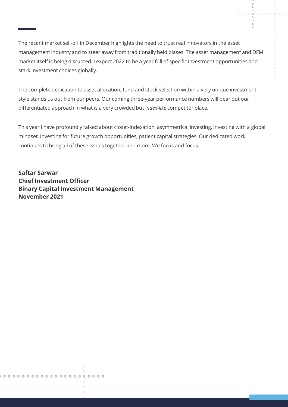$\circ$  $\circ$ 

The recent market sell-off in December highlights the need to trust real innovators in the asset management industry and to steer away from traditionally held biases. The asset management and DFM market itself is being disrupted. I expect 2022 to be a year full of specific investment opportunities and stark investment choices globally.

The complete dedication to asset allocation, fund and stock selection within a very unique investment style stands us out from our peers. Our coming three-year performance numbers will bear out our differentiated approach in what is a very crowded but i*ndex-like* competitor place.

This year I have profoundly talked about closet-indexation, asymmetrical investing, investing with a global mindset, investing for future growth opportunities, patient capital strategies. Our dedicated work continues to bring all of these issues together and more. We focus and focus.

**Saftar Sarwar Chief Investment Officer Binary Capital Investment Management November 2021**